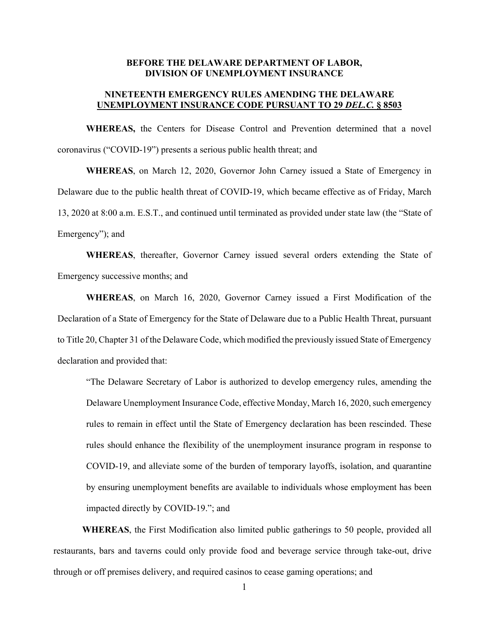## **BEFORE THE DELAWARE DEPARTMENT OF LABOR, DIVISION OF UNEMPLOYMENT INSURANCE**

# **NINETEENTH EMERGENCY RULES AMENDING THE DELAWARE UNEMPLOYMENT INSURANCE CODE PURSUANT TO 29** *DEL.C.* **§ 8503**

**WHEREAS,** the Centers for Disease Control and Prevention determined that a novel coronavirus ("COVID-19") presents a serious public health threat; and

**WHEREAS**, on March 12, 2020, Governor John Carney issued a State of Emergency in Delaware due to the public health threat of COVID-19, which became effective as of Friday, March 13, 2020 at 8:00 a.m. E.S.T., and continued until terminated as provided under state law (the "State of Emergency"); and

**WHEREAS**, thereafter, Governor Carney issued several orders extending the State of Emergency successive months; and

**WHEREAS**, on March 16, 2020, Governor Carney issued a First Modification of the Declaration of a State of Emergency for the State of Delaware due to a Public Health Threat, pursuant to Title 20, Chapter 31 of the Delaware Code, which modified the previously issued State of Emergency declaration and provided that:

"The Delaware Secretary of Labor is authorized to develop emergency rules, amending the Delaware Unemployment Insurance Code, effective Monday, March 16, 2020, such emergency rules to remain in effect until the State of Emergency declaration has been rescinded. These rules should enhance the flexibility of the unemployment insurance program in response to COVID-19, and alleviate some of the burden of temporary layoffs, isolation, and quarantine by ensuring unemployment benefits are available to individuals whose employment has been impacted directly by COVID-19."; and

**WHEREAS**, the First Modification also limited public gatherings to 50 people, provided all restaurants, bars and taverns could only provide food and beverage service through take-out, drive through or off premises delivery, and required casinos to cease gaming operations; and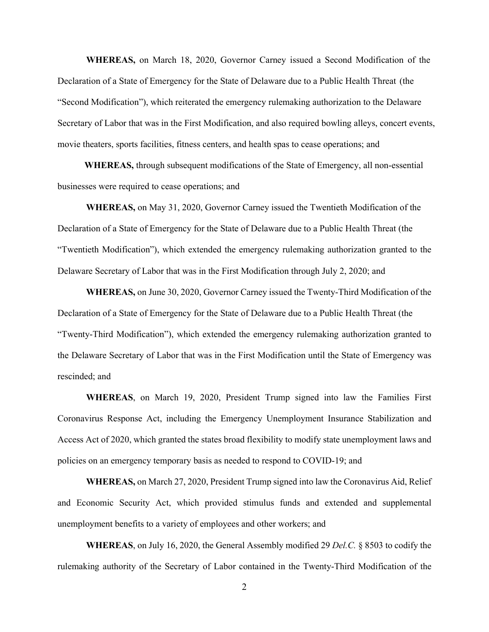**WHEREAS,** on March 18, 2020, Governor Carney issued a Second Modification of the Declaration of a State of Emergency for the State of Delaware due to a Public Health Threat (the "Second Modification"), which reiterated the emergency rulemaking authorization to the Delaware Secretary of Labor that was in the First Modification, and also required bowling alleys, concert events, movie theaters, sports facilities, fitness centers, and health spas to cease operations; and

**WHEREAS,** through subsequent modifications of the State of Emergency, all non-essential businesses were required to cease operations; and

**WHEREAS,** on May 31, 2020, Governor Carney issued the Twentieth Modification of the Declaration of a State of Emergency for the State of Delaware due to a Public Health Threat (the "Twentieth Modification"), which extended the emergency rulemaking authorization granted to the Delaware Secretary of Labor that was in the First Modification through July 2, 2020; and

**WHEREAS,** on June 30, 2020, Governor Carney issued the Twenty-Third Modification of the Declaration of a State of Emergency for the State of Delaware due to a Public Health Threat (the "Twenty-Third Modification"), which extended the emergency rulemaking authorization granted to the Delaware Secretary of Labor that was in the First Modification until the State of Emergency was rescinded; and

**WHEREAS**, on March 19, 2020, President Trump signed into law the Families First Coronavirus Response Act, including the Emergency Unemployment Insurance Stabilization and Access Act of 2020, which granted the states broad flexibility to modify state unemployment laws and policies on an emergency temporary basis as needed to respond to COVID-19; and

**WHEREAS,** on March 27, 2020, President Trump signed into law the Coronavirus Aid, Relief and Economic Security Act, which provided stimulus funds and extended and supplemental unemployment benefits to a variety of employees and other workers; and

**WHEREAS**, on July 16, 2020, the General Assembly modified 29 *Del.C.* § 8503 to codify the rulemaking authority of the Secretary of Labor contained in the Twenty-Third Modification of the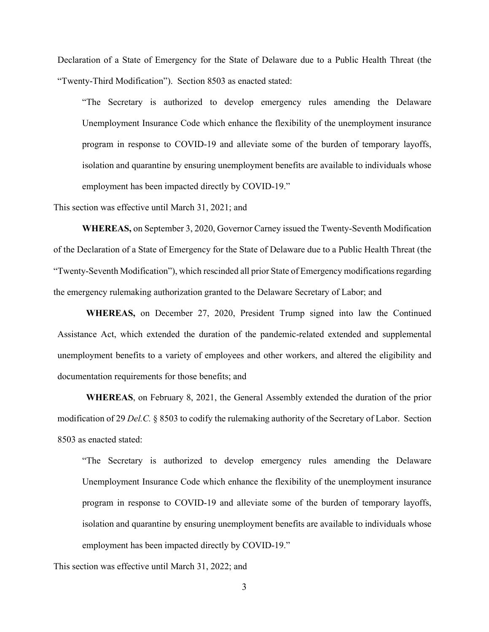Declaration of a State of Emergency for the State of Delaware due to a Public Health Threat (the "Twenty-Third Modification"). Section 8503 as enacted stated:

"The Secretary is authorized to develop emergency rules amending the Delaware Unemployment Insurance Code which enhance the flexibility of the unemployment insurance program in response to COVID-19 and alleviate some of the burden of temporary layoffs, isolation and quarantine by ensuring unemployment benefits are available to individuals whose employment has been impacted directly by COVID-19."

This section was effective until March 31, 2021; and

**WHEREAS,** on September 3, 2020, Governor Carney issued the Twenty-Seventh Modification of the Declaration of a State of Emergency for the State of Delaware due to a Public Health Threat (the "Twenty-Seventh Modification"), which rescinded all prior State of Emergency modifications regarding the emergency rulemaking authorization granted to the Delaware Secretary of Labor; and

**WHEREAS,** on December 27, 2020, President Trump signed into law the Continued Assistance Act, which extended the duration of the pandemic-related extended and supplemental unemployment benefits to a variety of employees and other workers, and altered the eligibility and documentation requirements for those benefits; and

**WHEREAS**, on February 8, 2021, the General Assembly extended the duration of the prior modification of 29 *Del.C.* § 8503 to codify the rulemaking authority of the Secretary of Labor. Section 8503 as enacted stated:

"The Secretary is authorized to develop emergency rules amending the Delaware Unemployment Insurance Code which enhance the flexibility of the unemployment insurance program in response to COVID-19 and alleviate some of the burden of temporary layoffs, isolation and quarantine by ensuring unemployment benefits are available to individuals whose employment has been impacted directly by COVID-19."

This section was effective until March 31, 2022; and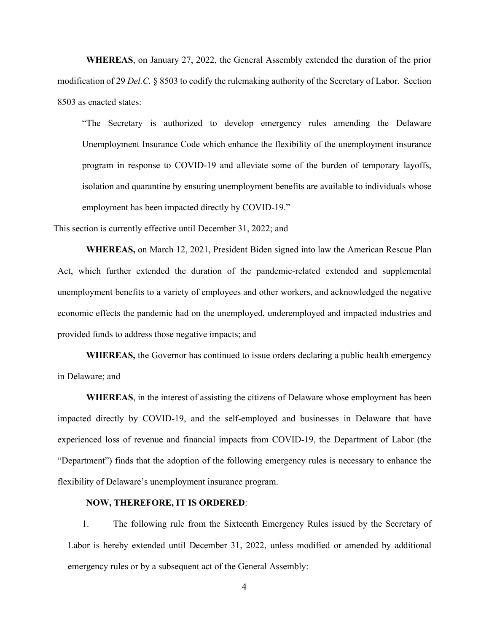**WHEREAS**, on January 27, 2022, the General Assembly extended the duration of the prior modification of 29 *Del.C.* § 8503 to codify the rulemaking authority of the Secretary of Labor. Section 8503 as enacted states:

"The Secretary is authorized to develop emergency rules amending the Delaware Unemployment Insurance Code which enhance the flexibility of the unemployment insurance program in response to COVID-19 and alleviate some of the burden of temporary layoffs, isolation and quarantine by ensuring unemployment benefits are available to individuals whose employment has been impacted directly by COVID-19."

This section is currently effective until December 31, 2022; and

**WHEREAS,** on March 12, 2021, President Biden signed into law the American Rescue Plan Act, which further extended the duration of the pandemic-related extended and supplemental unemployment benefits to a variety of employees and other workers, and acknowledged the negative economic effects the pandemic had on the unemployed, underemployed and impacted industries and provided funds to address those negative impacts; and

**WHEREAS,** the Governor has continued to issue orders declaring a public health emergency in Delaware; and

**WHEREAS**, in the interest of assisting the citizens of Delaware whose employment has been impacted directly by COVID-19, and the self-employed and businesses in Delaware that have experienced loss of revenue and financial impacts from COVID-19, the Department of Labor (the "Department") finds that the adoption of the following emergency rules is necessary to enhance the flexibility of Delaware's unemployment insurance program.

### **NOW, THEREFORE, IT IS ORDERED**:

1. The following rule from the Sixteenth Emergency Rules issued by the Secretary of Labor is hereby extended until December 31, 2022, unless modified or amended by additional emergency rules or by a subsequent act of the General Assembly:

4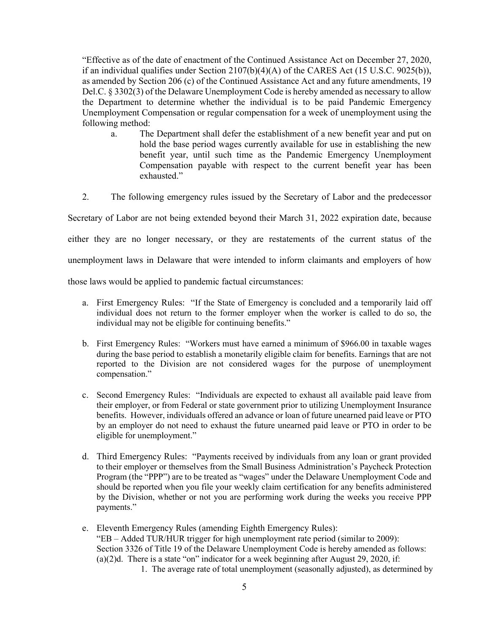"Effective as of the date of enactment of the Continued Assistance Act on December 27, 2020, if an individual qualifies under Section 2107(b)(4)(A) of the CARES Act (15 U.S.C. 9025(b)), as amended by Section 206 (c) of the Continued Assistance Act and any future amendments, 19 Del.C. § 3302(3) of the Delaware Unemployment Code is hereby amended as necessary to allow the Department to determine whether the individual is to be paid Pandemic Emergency Unemployment Compensation or regular compensation for a week of unemployment using the following method:

- a. The Department shall defer the establishment of a new benefit year and put on hold the base period wages currently available for use in establishing the new benefit year, until such time as the Pandemic Emergency Unemployment Compensation payable with respect to the current benefit year has been exhausted."
- 2. The following emergency rules issued by the Secretary of Labor and the predecessor

Secretary of Labor are not being extended beyond their March 31, 2022 expiration date, because

either they are no longer necessary, or they are restatements of the current status of the

unemployment laws in Delaware that were intended to inform claimants and employers of how

those laws would be applied to pandemic factual circumstances:

- a. First Emergency Rules: "If the State of Emergency is concluded and a temporarily laid off individual does not return to the former employer when the worker is called to do so, the individual may not be eligible for continuing benefits."
- b. First Emergency Rules: "Workers must have earned a minimum of \$966.00 in taxable wages during the base period to establish a monetarily eligible claim for benefits. Earnings that are not reported to the Division are not considered wages for the purpose of unemployment compensation."
- c. Second Emergency Rules: "Individuals are expected to exhaust all available paid leave from their employer, or from Federal or state government prior to utilizing Unemployment Insurance benefits. However, individuals offered an advance or loan of future unearned paid leave or PTO by an employer do not need to exhaust the future unearned paid leave or PTO in order to be eligible for unemployment."
- d. Third Emergency Rules: "Payments received by individuals from any loan or grant provided to their employer or themselves from the Small Business Administration's Paycheck Protection Program (the "PPP") are to be treated as "wages" under the Delaware Unemployment Code and should be reported when you file your weekly claim certification for any benefits administered by the Division, whether or not you are performing work during the weeks you receive PPP payments."
- e. Eleventh Emergency Rules (amending Eighth Emergency Rules): "EB – Added TUR/HUR trigger for high unemployment rate period (similar to 2009): Section 3326 of Title 19 of the Delaware Unemployment Code is hereby amended as follows: (a) $(2)$ d. There is a state "on" indicator for a week beginning after August 29, 2020, if: 1. The average rate of total unemployment (seasonally adjusted), as determined by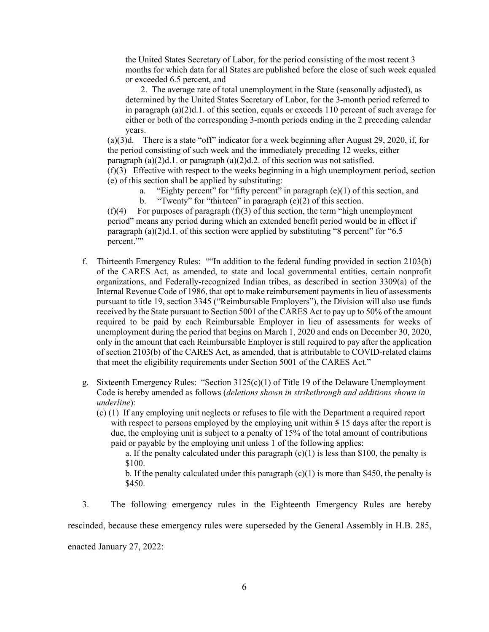the United States Secretary of Labor, for the period consisting of the most recent 3 months for which data for all States are published before the close of such week equaled or exceeded 6.5 percent, and

 2. The average rate of total unemployment in the State (seasonally adjusted), as determined by the United States Secretary of Labor, for the 3-month period referred to in paragraph  $(a)(2)d.1$ . of this section, equals or exceeds 110 percent of such average for either or both of the corresponding 3-month periods ending in the 2 preceding calendar years.

(a)(3)d. There is a state "off" indicator for a week beginning after August 29, 2020, if, for the period consisting of such week and the immediately preceding 12 weeks, either paragraph  $(a)(2)d.1$ . or paragraph  $(a)(2)d.2$ . of this section was not satisfied.

(f)(3) Effective with respect to the weeks beginning in a high unemployment period, section (e) of this section shall be applied by substituting:

"Eighty percent" for "fifty percent" in paragraph  $(e)(1)$  of this section, and b. "Twenty" for "thirteen" in paragraph (e)(2) of this section.

 $(f)(4)$  For purposes of paragraph  $(f)(3)$  of this section, the term "high unemployment" period" means any period during which an extended benefit period would be in effect if paragraph  $(a)(2)d.1$ . of this section were applied by substituting "8 percent" for "6.5 percent.""

- f. Thirteenth Emergency Rules: ""In addition to the federal funding provided in section 2103(b) of the CARES Act, as amended, to state and local governmental entities, certain nonprofit organizations, and Federally-recognized Indian tribes, as described in section 3309(a) of the Internal Revenue Code of 1986, that opt to make reimbursement payments in lieu of assessments pursuant to title 19, section 3345 ("Reimbursable Employers"), the Division will also use funds received by the State pursuant to Section 5001 of the CARES Act to pay up to 50% of the amount required to be paid by each Reimbursable Employer in lieu of assessments for weeks of unemployment during the period that begins on March 1, 2020 and ends on December 30, 2020, only in the amount that each Reimbursable Employer is still required to pay after the application of section 2103(b) of the CARES Act, as amended, that is attributable to COVID-related claims that meet the eligibility requirements under Section 5001 of the CARES Act."
- g. Sixteenth Emergency Rules: "Section  $3125(c)(1)$  of Title 19 of the Delaware Unemployment Code is hereby amended as follows (*deletions shown in strikethrough and additions shown in underline*):
	- (c) (1) If any employing unit neglects or refuses to file with the Department a required report with respect to persons employed by the employing unit within  $\frac{5}{15}$  days after the report is due, the employing unit is subject to a penalty of 15% of the total amount of contributions paid or payable by the employing unit unless 1 of the following applies:

a. If the penalty calculated under this paragraph  $(c)(1)$  is less than \$100, the penalty is \$100.

b. If the penalty calculated under this paragraph  $(c)(1)$  is more than \$450, the penalty is \$450.

3. The following emergency rules in the Eighteenth Emergency Rules are hereby rescinded, because these emergency rules were superseded by the General Assembly in H.B. 285, enacted January 27, 2022: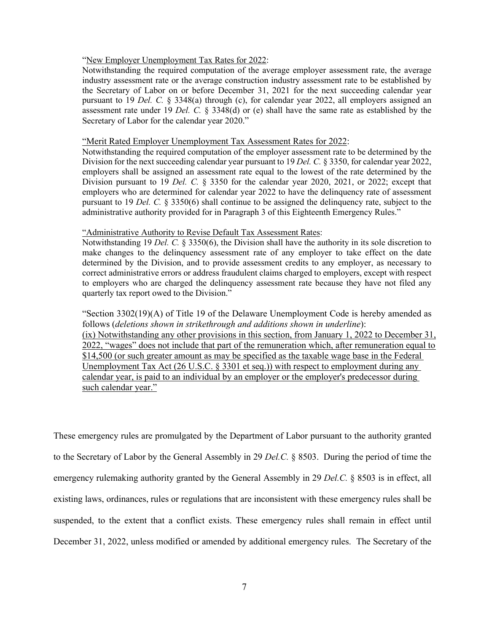#### "New Employer Unemployment Tax Rates for 2022:

Notwithstanding the required computation of the average employer assessment rate, the average industry assessment rate or the average construction industry assessment rate to be established by the Secretary of Labor on or before December 31, 2021 for the next succeeding calendar year pursuant to 19 *Del. C.* § 3348(a) through (c), for calendar year 2022, all employers assigned an assessment rate under 19 *Del. C.* § 3348(d) or (e) shall have the same rate as established by the Secretary of Labor for the calendar year 2020."

#### "Merit Rated Employer Unemployment Tax Assessment Rates for 2022:

Notwithstanding the required computation of the employer assessment rate to be determined by the Division for the next succeeding calendar year pursuant to 19 *Del. C.* § 3350, for calendar year 2022, employers shall be assigned an assessment rate equal to the lowest of the rate determined by the Division pursuant to 19 *Del. C.* § 3350 for the calendar year 2020, 2021, or 2022; except that employers who are determined for calendar year 2022 to have the delinquency rate of assessment pursuant to 19 *Del. C.* § 3350(6) shall continue to be assigned the delinquency rate, subject to the administrative authority provided for in Paragraph 3 of this Eighteenth Emergency Rules."

#### "Administrative Authority to Revise Default Tax Assessment Rates:

Notwithstanding 19 *Del. C.* § 3350(6), the Division shall have the authority in its sole discretion to make changes to the delinquency assessment rate of any employer to take effect on the date determined by the Division, and to provide assessment credits to any employer, as necessary to correct administrative errors or address fraudulent claims charged to employers, except with respect to employers who are charged the delinquency assessment rate because they have not filed any quarterly tax report owed to the Division."

"Section 3302(19)(A) of Title 19 of the Delaware Unemployment Code is hereby amended as follows (*deletions shown in strikethrough and additions shown in underline*): (ix) Notwithstanding any other provisions in this section, from January 1, 2022 to December 31, 2022, "wages" does not include that part of the remuneration which, after remuneration equal to \$14,500 (or such greater amount as may be specified as the taxable wage base in the Federal Unemployment Tax Act (26 U.S.C. § 3301 et seq.)) with respect to employment during any calendar year, is paid to an individual by an employer or the employer's predecessor during such calendar year."

These emergency rules are promulgated by the Department of Labor pursuant to the authority granted to the Secretary of Labor by the General Assembly in 29 *Del.C.* § 8503. During the period of time the emergency rulemaking authority granted by the General Assembly in 29 *Del.C.* § 8503 is in effect, all existing laws, ordinances, rules or regulations that are inconsistent with these emergency rules shall be suspended, to the extent that a conflict exists. These emergency rules shall remain in effect until December 31, 2022, unless modified or amended by additional emergency rules. The Secretary of the